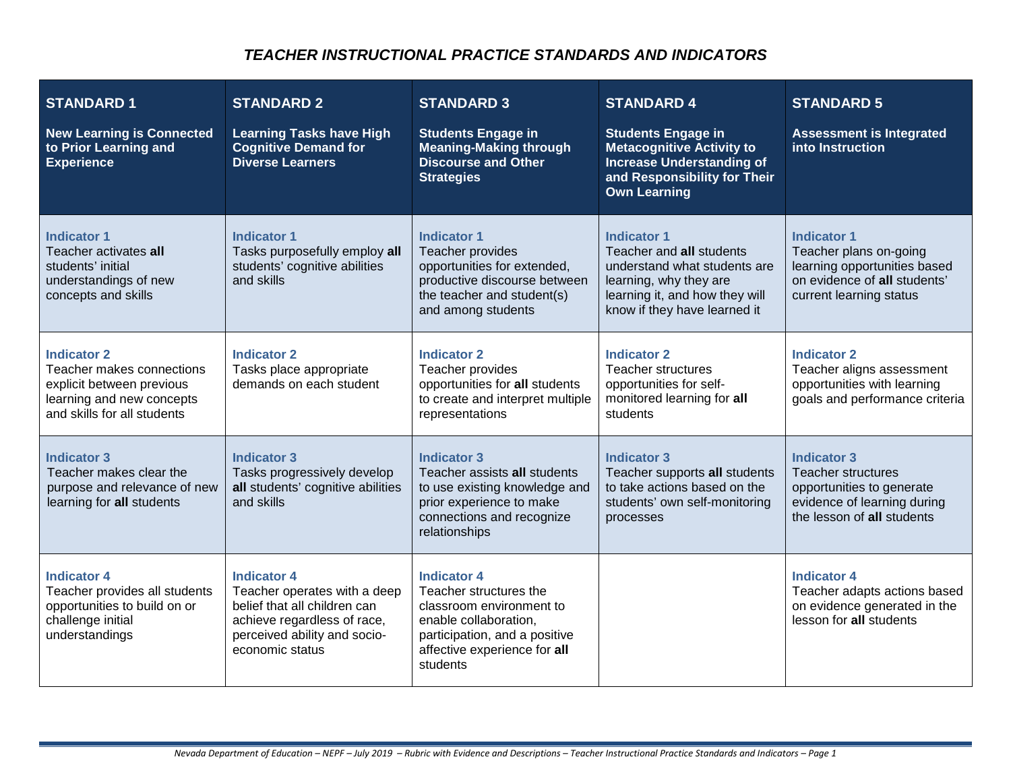### *TEACHER INSTRUCTIONAL PRACTICE STANDARDS AND INDICATORS*

| <b>STANDARD1</b><br><b>New Learning is Connected</b><br>to Prior Learning and<br><b>Experience</b>                                       | <b>STANDARD 2</b><br><b>Learning Tasks have High</b><br><b>Cognitive Demand for</b><br><b>Diverse Learners</b>                                                       | <b>STANDARD 3</b><br><b>Students Engage in</b><br><b>Meaning-Making through</b><br><b>Discourse and Other</b><br><b>Strategies</b>                                             | <b>STANDARD 4</b><br><b>Students Engage in</b><br><b>Metacognitive Activity to</b><br><b>Increase Understanding of</b><br>and Responsibility for Their<br><b>Own Learning</b> | <b>STANDARD 5</b><br><b>Assessment is Integrated</b><br>into Instruction                                                                  |
|------------------------------------------------------------------------------------------------------------------------------------------|----------------------------------------------------------------------------------------------------------------------------------------------------------------------|--------------------------------------------------------------------------------------------------------------------------------------------------------------------------------|-------------------------------------------------------------------------------------------------------------------------------------------------------------------------------|-------------------------------------------------------------------------------------------------------------------------------------------|
| <b>Indicator 1</b><br>Teacher activates all<br>students' initial<br>understandings of new<br>concepts and skills                         | <b>Indicator 1</b><br>Tasks purposefully employ all<br>students' cognitive abilities<br>and skills                                                                   | <b>Indicator 1</b><br>Teacher provides<br>opportunities for extended,<br>productive discourse between<br>the teacher and student(s)<br>and among students                      | <b>Indicator 1</b><br>Teacher and all students<br>understand what students are<br>learning, why they are<br>learning it, and how they will<br>know if they have learned it    | <b>Indicator 1</b><br>Teacher plans on-going<br>learning opportunities based<br>on evidence of all students'<br>current learning status   |
| <b>Indicator 2</b><br>Teacher makes connections<br>explicit between previous<br>learning and new concepts<br>and skills for all students | <b>Indicator 2</b><br>Tasks place appropriate<br>demands on each student                                                                                             | <b>Indicator 2</b><br>Teacher provides<br>opportunities for all students<br>to create and interpret multiple<br>representations                                                | <b>Indicator 2</b><br><b>Teacher structures</b><br>opportunities for self-<br>monitored learning for all<br>students                                                          | <b>Indicator 2</b><br>Teacher aligns assessment<br>opportunities with learning<br>goals and performance criteria                          |
| <b>Indicator 3</b><br>Teacher makes clear the<br>purpose and relevance of new<br>learning for all students                               | <b>Indicator 3</b><br>Tasks progressively develop<br>all students' cognitive abilities<br>and skills                                                                 | <b>Indicator 3</b><br>Teacher assists all students<br>to use existing knowledge and<br>prior experience to make<br>connections and recognize<br>relationships                  | <b>Indicator 3</b><br>Teacher supports all students<br>to take actions based on the<br>students' own self-monitoring<br>processes                                             | <b>Indicator 3</b><br><b>Teacher structures</b><br>opportunities to generate<br>evidence of learning during<br>the lesson of all students |
| <b>Indicator 4</b><br>Teacher provides all students<br>opportunities to build on or<br>challenge initial<br>understandings               | <b>Indicator 4</b><br>Teacher operates with a deep<br>belief that all children can<br>achieve regardless of race,<br>perceived ability and socio-<br>economic status | <b>Indicator 4</b><br>Teacher structures the<br>classroom environment to<br>enable collaboration.<br>participation, and a positive<br>affective experience for all<br>students |                                                                                                                                                                               | <b>Indicator 4</b><br>Teacher adapts actions based<br>on evidence generated in the<br>lesson for all students                             |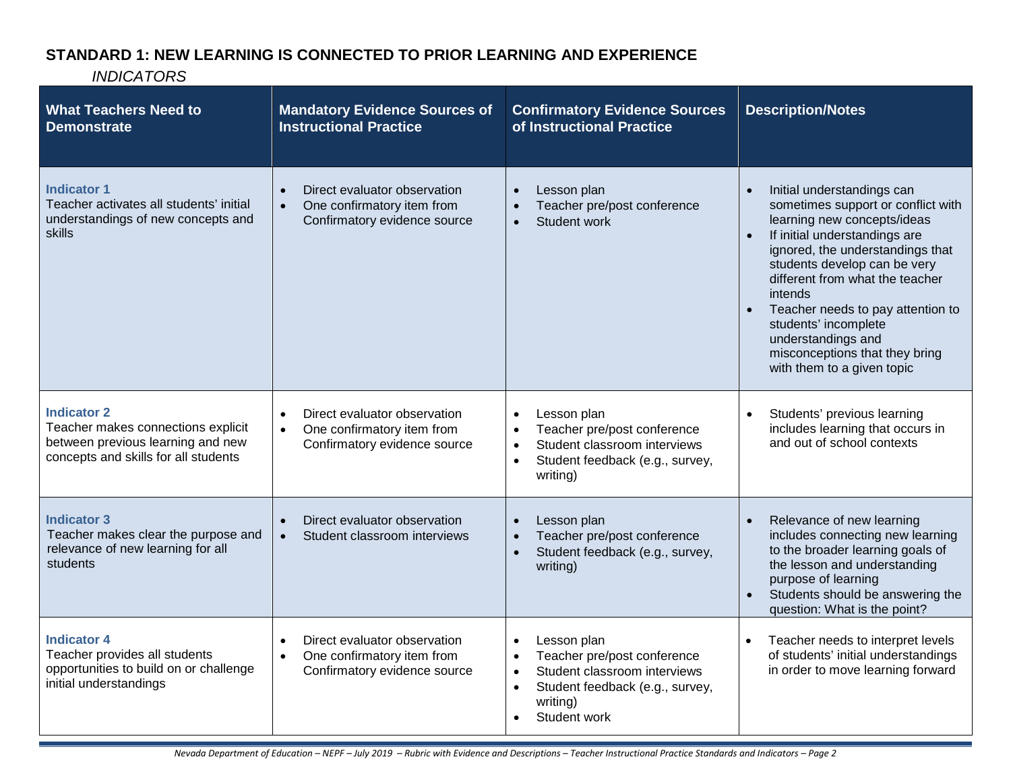# **STANDARD 1: NEW LEARNING IS CONNECTED TO PRIOR LEARNING AND EXPERIENCE**

| <b>What Teachers Need to</b><br><b>Demonstrate</b>                                                                                    | <b>Mandatory Evidence Sources of</b><br><b>Instructional Practice</b>                                                | <b>Confirmatory Evidence Sources</b><br>of Instructional Practice                                                                                                                             | <b>Description/Notes</b>                                                                                                                                                                                                                                                                                                                                                                                                        |
|---------------------------------------------------------------------------------------------------------------------------------------|----------------------------------------------------------------------------------------------------------------------|-----------------------------------------------------------------------------------------------------------------------------------------------------------------------------------------------|---------------------------------------------------------------------------------------------------------------------------------------------------------------------------------------------------------------------------------------------------------------------------------------------------------------------------------------------------------------------------------------------------------------------------------|
| <b>Indicator 1</b><br>Teacher activates all students' initial<br>understandings of new concepts and<br>skills                         | Direct evaluator observation<br>$\bullet$<br>One confirmatory item from<br>$\bullet$<br>Confirmatory evidence source | Lesson plan<br>Teacher pre/post conference<br>Student work<br>$\bullet$                                                                                                                       | Initial understandings can<br>sometimes support or conflict with<br>learning new concepts/ideas<br>If initial understandings are<br>$\bullet$<br>ignored, the understandings that<br>students develop can be very<br>different from what the teacher<br>intends<br>Teacher needs to pay attention to<br>$\bullet$<br>students' incomplete<br>understandings and<br>misconceptions that they bring<br>with them to a given topic |
| <b>Indicator 2</b><br>Teacher makes connections explicit<br>between previous learning and new<br>concepts and skills for all students | Direct evaluator observation<br>$\bullet$<br>One confirmatory item from<br>$\bullet$<br>Confirmatory evidence source | Lesson plan<br>$\bullet$<br>Teacher pre/post conference<br>$\bullet$<br>Student classroom interviews<br>$\bullet$<br>Student feedback (e.g., survey,<br>$\bullet$<br>writing)                 | Students' previous learning<br>includes learning that occurs in<br>and out of school contexts                                                                                                                                                                                                                                                                                                                                   |
| <b>Indicator 3</b><br>Teacher makes clear the purpose and<br>relevance of new learning for all<br>students                            | Direct evaluator observation<br>Student classroom interviews<br>$\bullet$                                            | Lesson plan<br>Teacher pre/post conference<br>$\bullet$<br>Student feedback (e.g., survey,<br>$\bullet$<br>writing)                                                                           | Relevance of new learning<br>includes connecting new learning<br>to the broader learning goals of<br>the lesson and understanding<br>purpose of learning<br>Students should be answering the<br>$\bullet$<br>question: What is the point?                                                                                                                                                                                       |
| <b>Indicator 4</b><br>Teacher provides all students<br>opportunities to build on or challenge<br>initial understandings               | Direct evaluator observation<br>One confirmatory item from<br>$\bullet$<br>Confirmatory evidence source              | Lesson plan<br>$\bullet$<br>Teacher pre/post conference<br>$\bullet$<br>Student classroom interviews<br>$\bullet$<br>Student feedback (e.g., survey,<br>$\bullet$<br>writing)<br>Student work | Teacher needs to interpret levels<br>of students' initial understandings<br>in order to move learning forward                                                                                                                                                                                                                                                                                                                   |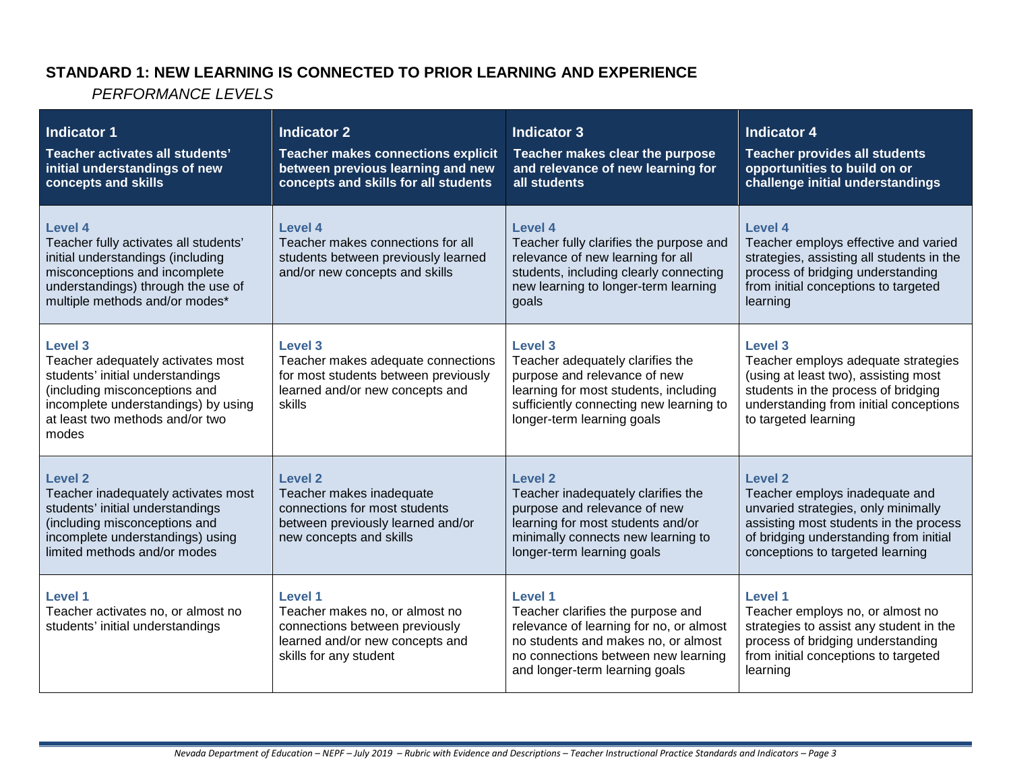### **STANDARD 1: NEW LEARNING IS CONNECTED TO PRIOR LEARNING AND EXPERIENCE**

| <b>Indicator 1</b><br>Teacher activates all students'<br>initial understandings of new<br>concepts and skills                                                                                         | <b>Indicator 2</b><br><b>Teacher makes connections explicit</b><br>between previous learning and new<br>concepts and skills for all students    | <b>Indicator 3</b><br>Teacher makes clear the purpose<br>and relevance of new learning for<br>all students                                                                                                     | <b>Indicator 4</b><br><b>Teacher provides all students</b><br>opportunities to build on or<br>challenge initial understandings                                                                                      |
|-------------------------------------------------------------------------------------------------------------------------------------------------------------------------------------------------------|-------------------------------------------------------------------------------------------------------------------------------------------------|----------------------------------------------------------------------------------------------------------------------------------------------------------------------------------------------------------------|---------------------------------------------------------------------------------------------------------------------------------------------------------------------------------------------------------------------|
| <b>Level 4</b><br>Teacher fully activates all students'<br>initial understandings (including<br>misconceptions and incomplete<br>understandings) through the use of<br>multiple methods and/or modes* | Level 4<br>Teacher makes connections for all<br>students between previously learned<br>and/or new concepts and skills                           | Level 4<br>Teacher fully clarifies the purpose and<br>relevance of new learning for all<br>students, including clearly connecting<br>new learning to longer-term learning<br>goals                             | Level 4<br>Teacher employs effective and varied<br>strategies, assisting all students in the<br>process of bridging understanding<br>from initial conceptions to targeted<br>learning                               |
| Level 3<br>Teacher adequately activates most<br>students' initial understandings<br>(including misconceptions and<br>incomplete understandings) by using<br>at least two methods and/or two<br>modes  | Level 3<br>Teacher makes adequate connections<br>for most students between previously<br>learned and/or new concepts and<br>skills              | <b>Level 3</b><br>Teacher adequately clarifies the<br>purpose and relevance of new<br>learning for most students, including<br>sufficiently connecting new learning to<br>longer-term learning goals           | <b>Level 3</b><br>Teacher employs adequate strategies<br>(using at least two), assisting most<br>students in the process of bridging<br>understanding from initial conceptions<br>to targeted learning              |
| <b>Level 2</b><br>Teacher inadequately activates most<br>students' initial understandings<br>(including misconceptions and<br>incomplete understandings) using<br>limited methods and/or modes        | <b>Level 2</b><br>Teacher makes inadequate<br>connections for most students<br>between previously learned and/or<br>new concepts and skills     | Level 2<br>Teacher inadequately clarifies the<br>purpose and relevance of new<br>learning for most students and/or<br>minimally connects new learning to<br>longer-term learning goals                         | Level <sub>2</sub><br>Teacher employs inadequate and<br>unvaried strategies, only minimally<br>assisting most students in the process<br>of bridging understanding from initial<br>conceptions to targeted learning |
| Level 1<br>Teacher activates no, or almost no<br>students' initial understandings                                                                                                                     | <b>Level 1</b><br>Teacher makes no, or almost no<br>connections between previously<br>learned and/or new concepts and<br>skills for any student | <b>Level 1</b><br>Teacher clarifies the purpose and<br>relevance of learning for no, or almost<br>no students and makes no, or almost<br>no connections between new learning<br>and longer-term learning goals | <b>Level 1</b><br>Teacher employs no, or almost no<br>strategies to assist any student in the<br>process of bridging understanding<br>from initial conceptions to targeted<br>learning                              |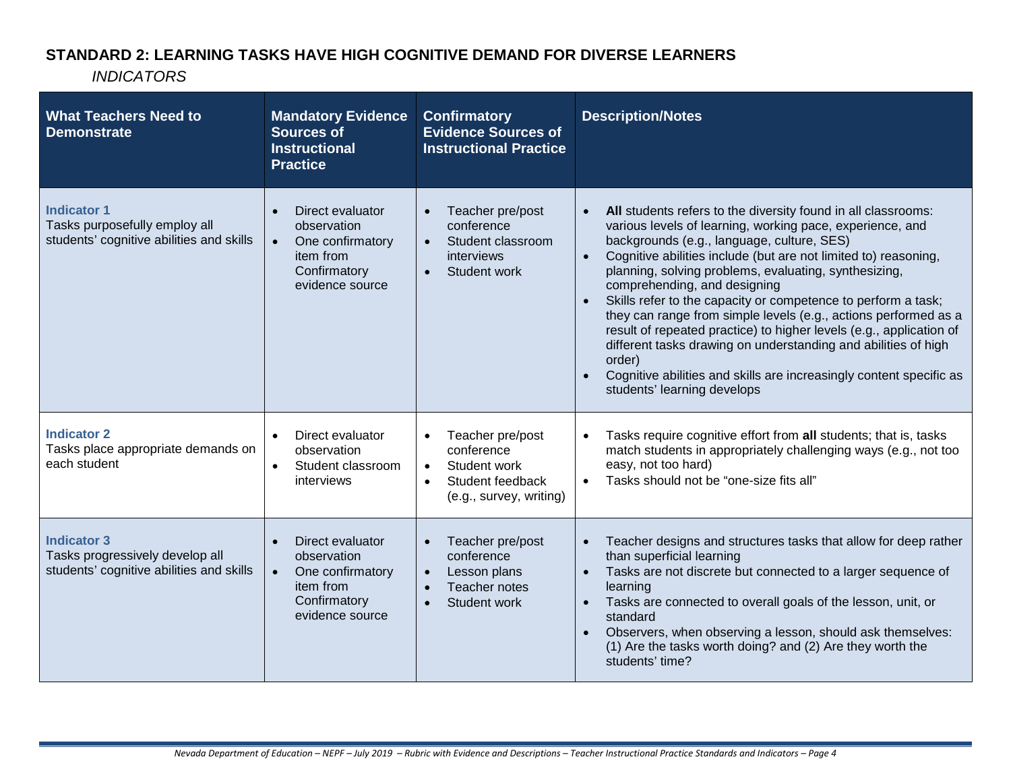### **STANDARD 2: LEARNING TASKS HAVE HIGH COGNITIVE DEMAND FOR DIVERSE LEARNERS**

| <b>What Teachers Need to</b><br><b>Demonstrate</b>                                                | <b>Mandatory Evidence</b><br><b>Sources of</b><br><b>Instructional</b><br><b>Practice</b>                        | <b>Confirmatory</b><br><b>Evidence Sources of</b><br><b>Instructional Practice</b>                                                   | <b>Description/Notes</b>                                                                                                                                                                                                                                                                                                                                                                                                                                                                                                                                                                                                                                                                                                          |
|---------------------------------------------------------------------------------------------------|------------------------------------------------------------------------------------------------------------------|--------------------------------------------------------------------------------------------------------------------------------------|-----------------------------------------------------------------------------------------------------------------------------------------------------------------------------------------------------------------------------------------------------------------------------------------------------------------------------------------------------------------------------------------------------------------------------------------------------------------------------------------------------------------------------------------------------------------------------------------------------------------------------------------------------------------------------------------------------------------------------------|
| <b>Indicator 1</b><br>Tasks purposefully employ all<br>students' cognitive abilities and skills   | Direct evaluator<br>observation<br>One confirmatory<br>$\bullet$<br>item from<br>Confirmatory<br>evidence source | Teacher pre/post<br>conference<br>Student classroom<br>$\bullet$<br>interviews<br>Student work<br>$\bullet$                          | All students refers to the diversity found in all classrooms:<br>various levels of learning, working pace, experience, and<br>backgrounds (e.g., language, culture, SES)<br>Cognitive abilities include (but are not limited to) reasoning,<br>planning, solving problems, evaluating, synthesizing,<br>comprehending, and designing<br>Skills refer to the capacity or competence to perform a task;<br>they can range from simple levels (e.g., actions performed as a<br>result of repeated practice) to higher levels (e.g., application of<br>different tasks drawing on understanding and abilities of high<br>order)<br>Cognitive abilities and skills are increasingly content specific as<br>students' learning develops |
| <b>Indicator 2</b><br>Tasks place appropriate demands on<br>each student                          | Direct evaluator<br>observation<br>Student classroom<br>$\bullet$<br>interviews                                  | Teacher pre/post<br>$\bullet$<br>conference<br>Student work<br>$\bullet$<br>Student feedback<br>$\bullet$<br>(e.g., survey, writing) | Tasks require cognitive effort from all students; that is, tasks<br>match students in appropriately challenging ways (e.g., not too<br>easy, not too hard)<br>Tasks should not be "one-size fits all"                                                                                                                                                                                                                                                                                                                                                                                                                                                                                                                             |
| <b>Indicator 3</b><br>Tasks progressively develop all<br>students' cognitive abilities and skills | Direct evaluator<br>observation<br>$\bullet$<br>One confirmatory<br>item from<br>Confirmatory<br>evidence source | Teacher pre/post<br>conference<br>Lesson plans<br>$\bullet$<br>Teacher notes<br>Student work<br>$\bullet$                            | Teacher designs and structures tasks that allow for deep rather<br>than superficial learning<br>Tasks are not discrete but connected to a larger sequence of<br>$\bullet$<br>learning<br>Tasks are connected to overall goals of the lesson, unit, or<br>$\bullet$<br>standard<br>Observers, when observing a lesson, should ask themselves:<br>$\bullet$<br>(1) Are the tasks worth doing? and (2) Are they worth the<br>students' time?                                                                                                                                                                                                                                                                                         |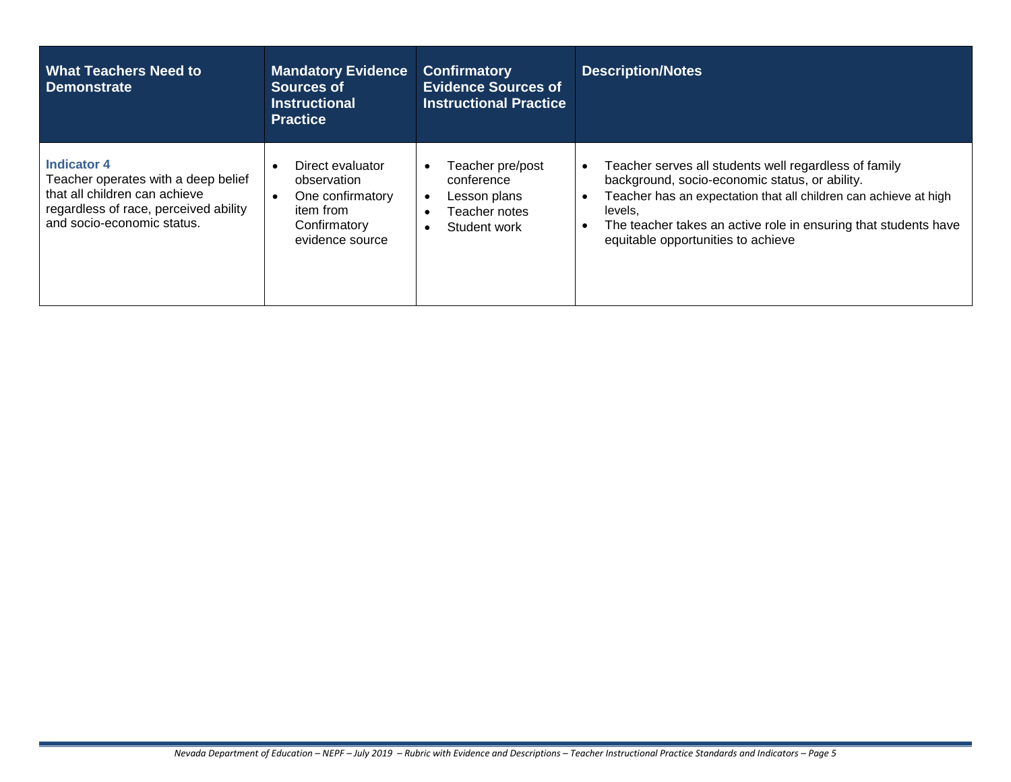| <b>What Teachers Need to</b><br><b>Demonstrate</b>                                                                                                                | <b>Mandatory Evidence</b><br>Sources of<br><b>Instructional</b><br><b>Practice</b>                  | <b>Confirmatory</b><br><b>Evidence Sources of</b><br><b>Instructional Practice</b> | <b>Description/Notes</b>                                                                                                                                                                                                                                                                                     |
|-------------------------------------------------------------------------------------------------------------------------------------------------------------------|-----------------------------------------------------------------------------------------------------|------------------------------------------------------------------------------------|--------------------------------------------------------------------------------------------------------------------------------------------------------------------------------------------------------------------------------------------------------------------------------------------------------------|
| <b>Indicator 4</b><br>Teacher operates with a deep belief<br>that all children can achieve<br>regardless of race, perceived ability<br>and socio-economic status. | Direct evaluator<br>observation<br>One confirmatory<br>item from<br>Confirmatory<br>evidence source | Teacher pre/post<br>conference<br>Lesson plans<br>Teacher notes<br>Student work    | Teacher serves all students well regardless of family<br>background, socio-economic status, or ability.<br>Teacher has an expectation that all children can achieve at high<br>$\bullet$<br>levels,<br>The teacher takes an active role in ensuring that students have<br>equitable opportunities to achieve |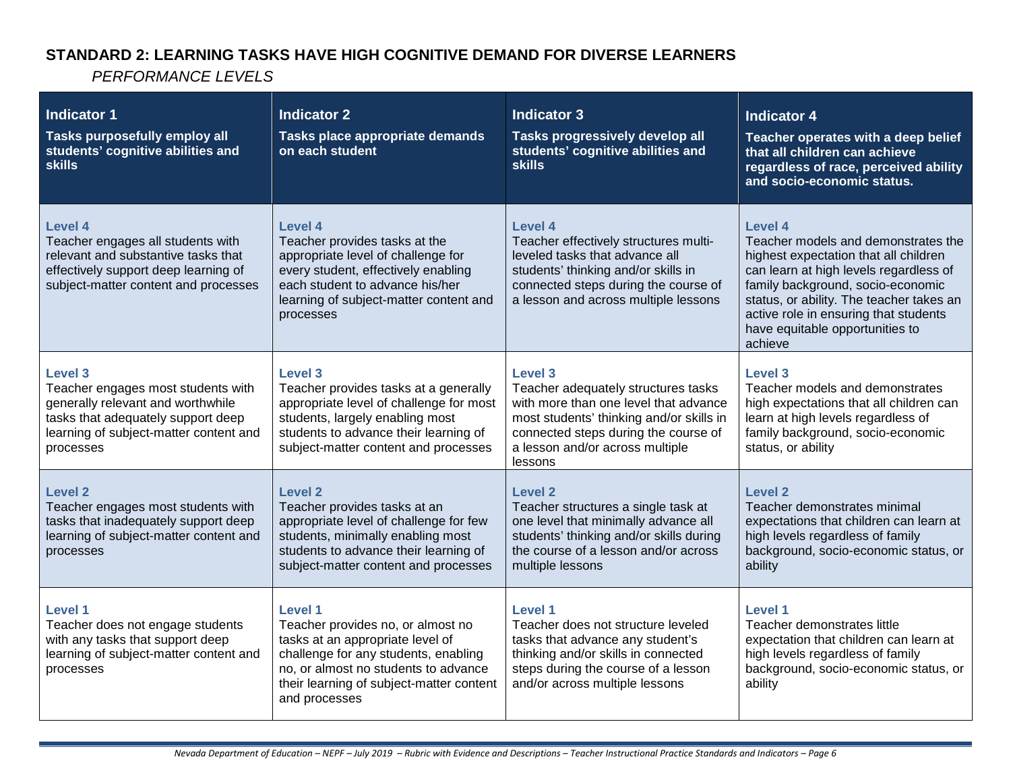# **STANDARD 2: LEARNING TASKS HAVE HIGH COGNITIVE DEMAND FOR DIVERSE LEARNERS**

| <b>Indicator 1</b><br>Tasks purposefully employ all<br>students' cognitive abilities and<br><b>skills</b>                                                                              | <b>Indicator 2</b><br>Tasks place appropriate demands<br>on each student                                                                                                                                                      | <b>Indicator 3</b><br>Tasks progressively develop all<br>students' cognitive abilities and<br><b>skills</b>                                                                                                                      | <b>Indicator 4</b><br>Teacher operates with a deep belief<br>that all children can achieve<br>regardless of race, perceived ability<br>and socio-economic status.                                                                                                                                                |
|----------------------------------------------------------------------------------------------------------------------------------------------------------------------------------------|-------------------------------------------------------------------------------------------------------------------------------------------------------------------------------------------------------------------------------|----------------------------------------------------------------------------------------------------------------------------------------------------------------------------------------------------------------------------------|------------------------------------------------------------------------------------------------------------------------------------------------------------------------------------------------------------------------------------------------------------------------------------------------------------------|
| <b>Level 4</b><br>Teacher engages all students with<br>relevant and substantive tasks that<br>effectively support deep learning of<br>subject-matter content and processes             | Level 4<br>Teacher provides tasks at the<br>appropriate level of challenge for<br>every student, effectively enabling<br>each student to advance his/her<br>learning of subject-matter content and<br>processes               | <b>Level 4</b><br>Teacher effectively structures multi-<br>leveled tasks that advance all<br>students' thinking and/or skills in<br>connected steps during the course of<br>a lesson and across multiple lessons                 | <b>Level 4</b><br>Teacher models and demonstrates the<br>highest expectation that all children<br>can learn at high levels regardless of<br>family background, socio-economic<br>status, or ability. The teacher takes an<br>active role in ensuring that students<br>have equitable opportunities to<br>achieve |
| <b>Level 3</b><br>Teacher engages most students with<br>generally relevant and worthwhile<br>tasks that adequately support deep<br>learning of subject-matter content and<br>processes | Level 3<br>Teacher provides tasks at a generally<br>appropriate level of challenge for most<br>students, largely enabling most<br>students to advance their learning of<br>subject-matter content and processes               | <b>Level 3</b><br>Teacher adequately structures tasks<br>with more than one level that advance<br>most students' thinking and/or skills in<br>connected steps during the course of<br>a lesson and/or across multiple<br>lessons | Level 3<br>Teacher models and demonstrates<br>high expectations that all children can<br>learn at high levels regardless of<br>family background, socio-economic<br>status, or ability                                                                                                                           |
| <b>Level 2</b><br>Teacher engages most students with<br>tasks that inadequately support deep<br>learning of subject-matter content and<br>processes                                    | Level 2<br>Teacher provides tasks at an<br>appropriate level of challenge for few<br>students, minimally enabling most<br>students to advance their learning of<br>subject-matter content and processes                       | Level <sub>2</sub><br>Teacher structures a single task at<br>one level that minimally advance all<br>students' thinking and/or skills during<br>the course of a lesson and/or across<br>multiple lessons                         | Level 2<br>Teacher demonstrates minimal<br>expectations that children can learn at<br>high levels regardless of family<br>background, socio-economic status, or<br>ability                                                                                                                                       |
| Level 1<br>Teacher does not engage students<br>with any tasks that support deep<br>learning of subject-matter content and<br>processes                                                 | Level 1<br>Teacher provides no, or almost no<br>tasks at an appropriate level of<br>challenge for any students, enabling<br>no, or almost no students to advance<br>their learning of subject-matter content<br>and processes | Level 1<br>Teacher does not structure leveled<br>tasks that advance any student's<br>thinking and/or skills in connected<br>steps during the course of a lesson<br>and/or across multiple lessons                                | <b>Level 1</b><br>Teacher demonstrates little<br>expectation that children can learn at<br>high levels regardless of family<br>background, socio-economic status, or<br>ability                                                                                                                                  |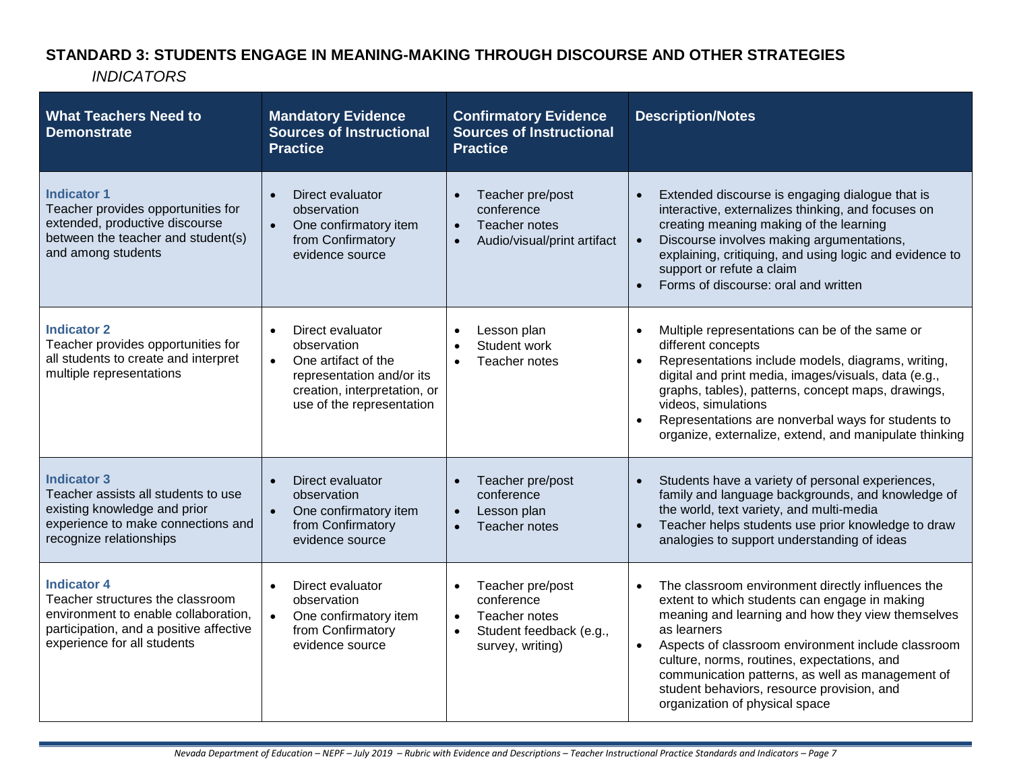# **STANDARD 3: STUDENTS ENGAGE IN MEANING-MAKING THROUGH DISCOURSE AND OTHER STRATEGIES**

| <b>What Teachers Need to</b><br><b>Demonstrate</b>                                                                                                                       | <b>Mandatory Evidence</b><br><b>Sources of Instructional</b><br><b>Practice</b>                                                                                            | <b>Confirmatory Evidence</b><br><b>Sources of Instructional</b><br><b>Practice</b>                                                    | <b>Description/Notes</b>                                                                                                                                                                                                                                                                                                                                                                                                                  |
|--------------------------------------------------------------------------------------------------------------------------------------------------------------------------|----------------------------------------------------------------------------------------------------------------------------------------------------------------------------|---------------------------------------------------------------------------------------------------------------------------------------|-------------------------------------------------------------------------------------------------------------------------------------------------------------------------------------------------------------------------------------------------------------------------------------------------------------------------------------------------------------------------------------------------------------------------------------------|
| <b>Indicator 1</b><br>Teacher provides opportunities for<br>extended, productive discourse<br>between the teacher and student(s)<br>and among students                   | Direct evaluator<br>$\bullet$<br>observation<br>One confirmatory item<br>from Confirmatory<br>evidence source                                                              | Teacher pre/post<br>$\bullet$<br>conference<br>Teacher notes<br>$\bullet$<br>Audio/visual/print artifact<br>$\bullet$                 | Extended discourse is engaging dialogue that is<br>$\bullet$<br>interactive, externalizes thinking, and focuses on<br>creating meaning making of the learning<br>Discourse involves making argumentations,<br>$\bullet$<br>explaining, critiquing, and using logic and evidence to<br>support or refute a claim<br>Forms of discourse: oral and written                                                                                   |
| <b>Indicator 2</b><br>Teacher provides opportunities for<br>all students to create and interpret<br>multiple representations                                             | Direct evaluator<br>$\bullet$<br>observation<br>One artifact of the<br>$\bullet$<br>representation and/or its<br>creation, interpretation, or<br>use of the representation | Lesson plan<br>$\bullet$<br>Student work<br>$\bullet$<br>Teacher notes<br>$\bullet$                                                   | Multiple representations can be of the same or<br>$\bullet$<br>different concepts<br>Representations include models, diagrams, writing,<br>$\bullet$<br>digital and print media, images/visuals, data (e.g.,<br>graphs, tables), patterns, concept maps, drawings,<br>videos, simulations<br>Representations are nonverbal ways for students to<br>organize, externalize, extend, and manipulate thinking                                 |
| <b>Indicator 3</b><br>Teacher assists all students to use<br>existing knowledge and prior<br>experience to make connections and<br>recognize relationships               | Direct evaluator<br>observation<br>One confirmatory item<br>from Confirmatory<br>evidence source                                                                           | Teacher pre/post<br>$\bullet$<br>conference<br>Lesson plan<br>$\bullet$<br>Teacher notes<br>$\bullet$                                 | Students have a variety of personal experiences,<br>$\bullet$<br>family and language backgrounds, and knowledge of<br>the world, text variety, and multi-media<br>Teacher helps students use prior knowledge to draw<br>$\bullet$<br>analogies to support understanding of ideas                                                                                                                                                          |
| <b>Indicator 4</b><br>Teacher structures the classroom<br>environment to enable collaboration,<br>participation, and a positive affective<br>experience for all students | Direct evaluator<br>observation<br>One confirmatory item<br>$\bullet$<br>from Confirmatory<br>evidence source                                                              | Teacher pre/post<br>$\bullet$<br>conference<br>Teacher notes<br>$\bullet$<br>Student feedback (e.g.,<br>$\bullet$<br>survey, writing) | The classroom environment directly influences the<br>$\bullet$<br>extent to which students can engage in making<br>meaning and learning and how they view themselves<br>as learners<br>Aspects of classroom environment include classroom<br>$\bullet$<br>culture, norms, routines, expectations, and<br>communication patterns, as well as management of<br>student behaviors, resource provision, and<br>organization of physical space |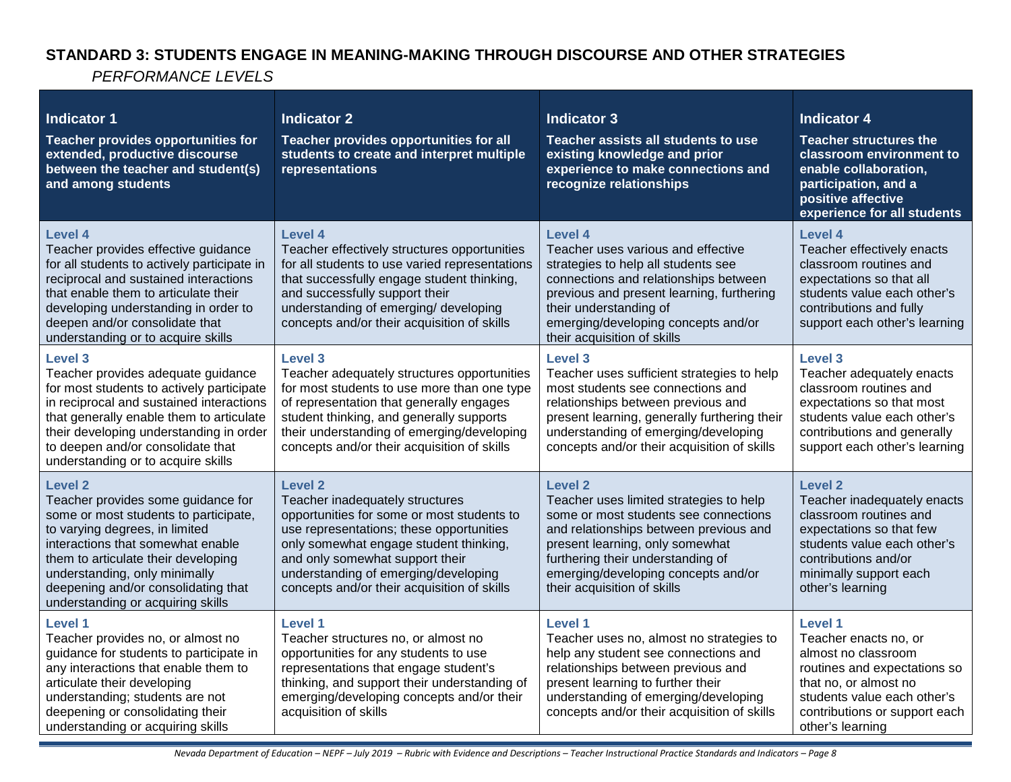# **STANDARD 3: STUDENTS ENGAGE IN MEANING-MAKING THROUGH DISCOURSE AND OTHER STRATEGIES**

| <b>Indicator 1</b><br>Teacher provides opportunities for<br>extended, productive discourse<br>between the teacher and student(s)<br>and among students                                                                                                                                                                   | <b>Indicator 2</b><br>Teacher provides opportunities for all<br>students to create and interpret multiple<br>representations                                                                                                                                                                                    | <b>Indicator 3</b><br>Teacher assists all students to use<br>existing knowledge and prior<br>experience to make connections and<br>recognize relationships                                                                                                                                 | <b>Indicator 4</b><br><b>Teacher structures the</b><br>classroom environment to<br>enable collaboration,<br>participation, and a<br>positive affective<br>experience for all students                    |
|--------------------------------------------------------------------------------------------------------------------------------------------------------------------------------------------------------------------------------------------------------------------------------------------------------------------------|-----------------------------------------------------------------------------------------------------------------------------------------------------------------------------------------------------------------------------------------------------------------------------------------------------------------|--------------------------------------------------------------------------------------------------------------------------------------------------------------------------------------------------------------------------------------------------------------------------------------------|----------------------------------------------------------------------------------------------------------------------------------------------------------------------------------------------------------|
| <b>Level 4</b><br>Teacher provides effective guidance<br>for all students to actively participate in<br>reciprocal and sustained interactions<br>that enable them to articulate their<br>developing understanding in order to<br>deepen and/or consolidate that<br>understanding or to acquire skills                    | <b>Level 4</b><br>Teacher effectively structures opportunities<br>for all students to use varied representations<br>that successfully engage student thinking,<br>and successfully support their<br>understanding of emerging/ developing<br>concepts and/or their acquisition of skills                        | Level 4<br>Teacher uses various and effective<br>strategies to help all students see<br>connections and relationships between<br>previous and present learning, furthering<br>their understanding of<br>emerging/developing concepts and/or<br>their acquisition of skills                 | Level 4<br>Teacher effectively enacts<br>classroom routines and<br>expectations so that all<br>students value each other's<br>contributions and fully<br>support each other's learning                   |
| Level 3<br>Teacher provides adequate guidance<br>for most students to actively participate<br>in reciprocal and sustained interactions<br>that generally enable them to articulate<br>their developing understanding in order<br>to deepen and/or consolidate that<br>understanding or to acquire skills                 | <b>Level 3</b><br>Teacher adequately structures opportunities<br>for most students to use more than one type<br>of representation that generally engages<br>student thinking, and generally supports<br>their understanding of emerging/developing<br>concepts and/or their acquisition of skills               | <b>Level 3</b><br>Teacher uses sufficient strategies to help<br>most students see connections and<br>relationships between previous and<br>present learning, generally furthering their<br>understanding of emerging/developing<br>concepts and/or their acquisition of skills             | Level 3<br>Teacher adequately enacts<br>classroom routines and<br>expectations so that most<br>students value each other's<br>contributions and generally<br>support each other's learning               |
| <b>Level 2</b><br>Teacher provides some guidance for<br>some or most students to participate,<br>to varying degrees, in limited<br>interactions that somewhat enable<br>them to articulate their developing<br>understanding, only minimally<br>deepening and/or consolidating that<br>understanding or acquiring skills | <b>Level 2</b><br>Teacher inadequately structures<br>opportunities for some or most students to<br>use representations; these opportunities<br>only somewhat engage student thinking,<br>and only somewhat support their<br>understanding of emerging/developing<br>concepts and/or their acquisition of skills | <b>Level 2</b><br>Teacher uses limited strategies to help<br>some or most students see connections<br>and relationships between previous and<br>present learning, only somewhat<br>furthering their understanding of<br>emerging/developing concepts and/or<br>their acquisition of skills | <b>Level 2</b><br>Teacher inadequately enacts<br>classroom routines and<br>expectations so that few<br>students value each other's<br>contributions and/or<br>minimally support each<br>other's learning |
| Level 1<br>Teacher provides no, or almost no<br>guidance for students to participate in<br>any interactions that enable them to<br>articulate their developing<br>understanding; students are not<br>deepening or consolidating their<br>understanding or acquiring skills                                               | <b>Level 1</b><br>Teacher structures no, or almost no<br>opportunities for any students to use<br>representations that engage student's<br>thinking, and support their understanding of<br>emerging/developing concepts and/or their<br>acquisition of skills                                                   | <b>Level 1</b><br>Teacher uses no, almost no strategies to<br>help any student see connections and<br>relationships between previous and<br>present learning to further their<br>understanding of emerging/developing<br>concepts and/or their acquisition of skills                       | Level 1<br>Teacher enacts no, or<br>almost no classroom<br>routines and expectations so<br>that no, or almost no<br>students value each other's<br>contributions or support each<br>other's learning     |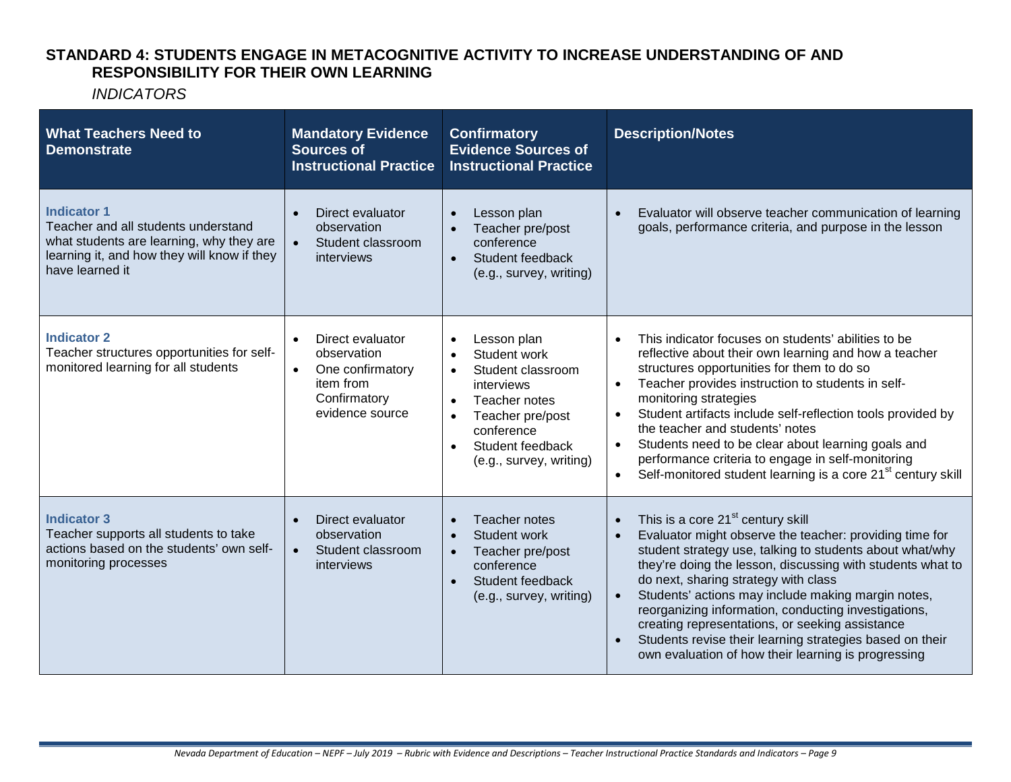#### **STANDARD 4: STUDENTS ENGAGE IN METACOGNITIVE ACTIVITY TO INCREASE UNDERSTANDING OF AND RESPONSIBILITY FOR THEIR OWN LEARNING**

| <b>What Teachers Need to</b><br><b>Demonstrate</b>                                                                                                                      | <b>Mandatory Evidence</b><br><b>Sources of</b><br><b>Instructional Practice</b>                                  | <b>Confirmatory</b><br><b>Evidence Sources of</b><br><b>Instructional Practice</b>                                                                                                                                                | <b>Description/Notes</b>                                                                                                                                                                                                                                                                                                                                                                                                                                                                                                                                                                              |
|-------------------------------------------------------------------------------------------------------------------------------------------------------------------------|------------------------------------------------------------------------------------------------------------------|-----------------------------------------------------------------------------------------------------------------------------------------------------------------------------------------------------------------------------------|-------------------------------------------------------------------------------------------------------------------------------------------------------------------------------------------------------------------------------------------------------------------------------------------------------------------------------------------------------------------------------------------------------------------------------------------------------------------------------------------------------------------------------------------------------------------------------------------------------|
| <b>Indicator 1</b><br>Teacher and all students understand<br>what students are learning, why they are<br>learning it, and how they will know if they<br>have learned it | Direct evaluator<br>observation<br>Student classroom<br>interviews                                               | Lesson plan<br>$\bullet$<br>Teacher pre/post<br>conference<br>Student feedback<br>$\bullet$<br>(e.g., survey, writing)                                                                                                            | Evaluator will observe teacher communication of learning<br>goals, performance criteria, and purpose in the lesson                                                                                                                                                                                                                                                                                                                                                                                                                                                                                    |
| <b>Indicator 2</b><br>Teacher structures opportunities for self-<br>monitored learning for all students                                                                 | Direct evaluator<br>observation<br>One confirmatory<br>$\bullet$<br>item from<br>Confirmatory<br>evidence source | Lesson plan<br>$\bullet$<br>Student work<br>$\bullet$<br>Student classroom<br>$\bullet$<br>interviews<br>Teacher notes<br>$\bullet$<br>Teacher pre/post<br>conference<br>Student feedback<br>$\bullet$<br>(e.g., survey, writing) | This indicator focuses on students' abilities to be<br>$\bullet$<br>reflective about their own learning and how a teacher<br>structures opportunities for them to do so<br>Teacher provides instruction to students in self-<br>$\bullet$<br>monitoring strategies<br>Student artifacts include self-reflection tools provided by<br>$\bullet$<br>the teacher and students' notes<br>Students need to be clear about learning goals and<br>$\bullet$<br>performance criteria to engage in self-monitoring<br>Self-monitored student learning is a core 21 <sup>st</sup> century skill<br>$\bullet$    |
| <b>Indicator 3</b><br>Teacher supports all students to take<br>actions based on the students' own self-<br>monitoring processes                                         | Direct evaluator<br>observation<br>Student classroom<br>$\bullet$<br>interviews                                  | Teacher notes<br>$\bullet$<br>Student work<br>$\bullet$<br>Teacher pre/post<br>$\bullet$<br>conference<br>Student feedback<br>(e.g., survey, writing)                                                                             | This is a core 21 <sup>st</sup> century skill<br>$\bullet$<br>Evaluator might observe the teacher: providing time for<br>$\bullet$<br>student strategy use, talking to students about what/why<br>they're doing the lesson, discussing with students what to<br>do next, sharing strategy with class<br>Students' actions may include making margin notes,<br>$\bullet$<br>reorganizing information, conducting investigations,<br>creating representations, or seeking assistance<br>Students revise their learning strategies based on their<br>own evaluation of how their learning is progressing |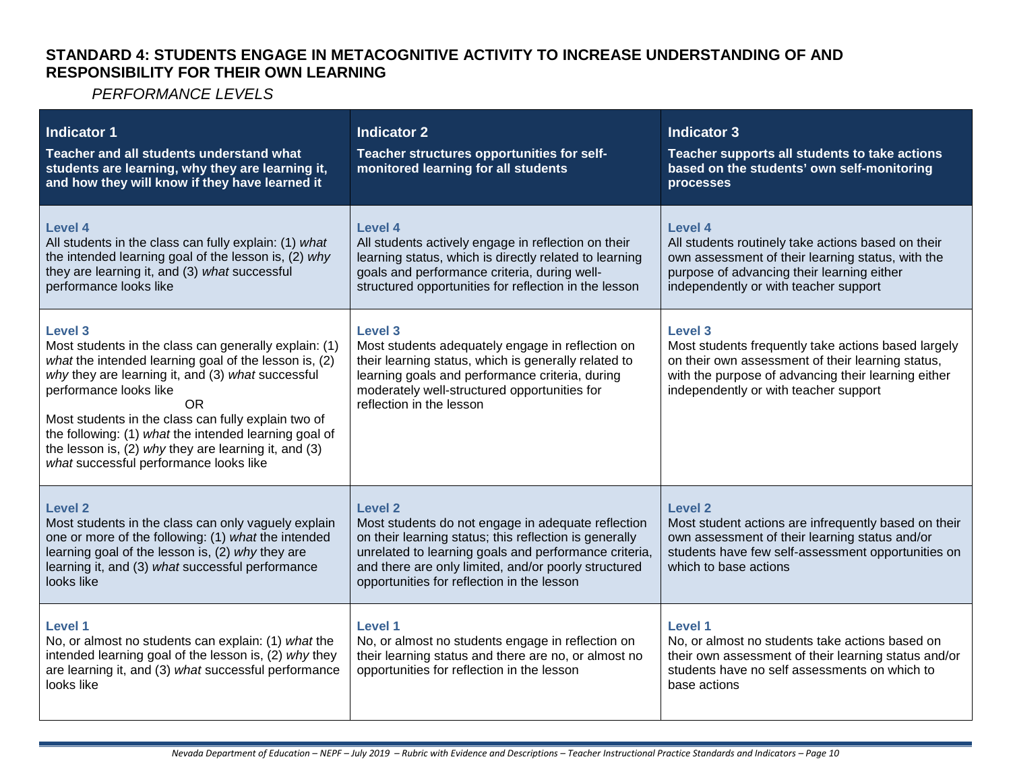#### **STANDARD 4: STUDENTS ENGAGE IN METACOGNITIVE ACTIVITY TO INCREASE UNDERSTANDING OF AND RESPONSIBILITY FOR THEIR OWN LEARNING**

| Indicator 1<br>Teacher and all students understand what<br>students are learning, why they are learning it,<br>and how they will know if they have learned it                                                                                                                                                                                                                                                                                  | <b>Indicator 2</b><br>Teacher structures opportunities for self-<br>monitored learning for all students                                                                                                                                                                                | <b>Indicator 3</b><br>Teacher supports all students to take actions<br>based on the students' own self-monitoring<br>processes                                                                                      |
|------------------------------------------------------------------------------------------------------------------------------------------------------------------------------------------------------------------------------------------------------------------------------------------------------------------------------------------------------------------------------------------------------------------------------------------------|----------------------------------------------------------------------------------------------------------------------------------------------------------------------------------------------------------------------------------------------------------------------------------------|---------------------------------------------------------------------------------------------------------------------------------------------------------------------------------------------------------------------|
| <b>Level 4</b><br>All students in the class can fully explain: (1) what<br>the intended learning goal of the lesson is, (2) why<br>they are learning it, and (3) what successful<br>performance looks like                                                                                                                                                                                                                                     | Level 4<br>All students actively engage in reflection on their<br>learning status, which is directly related to learning<br>goals and performance criteria, during well-<br>structured opportunities for reflection in the lesson                                                      | Level 4<br>All students routinely take actions based on their<br>own assessment of their learning status, with the<br>purpose of advancing their learning either<br>independently or with teacher support           |
| <b>Level 3</b><br>Most students in the class can generally explain: (1)<br>what the intended learning goal of the lesson is, (2)<br>why they are learning it, and (3) what successful<br>performance looks like<br><b>OR</b><br>Most students in the class can fully explain two of<br>the following: (1) what the intended learning goal of<br>the lesson is, (2) why they are learning it, and (3)<br>what successful performance looks like | <b>Level 3</b><br>Most students adequately engage in reflection on<br>their learning status, which is generally related to<br>learning goals and performance criteria, during<br>moderately well-structured opportunities for<br>reflection in the lesson                              | Level 3<br>Most students frequently take actions based largely<br>on their own assessment of their learning status,<br>with the purpose of advancing their learning either<br>independently or with teacher support |
| <b>Level 2</b><br>Most students in the class can only vaguely explain<br>one or more of the following: (1) what the intended<br>learning goal of the lesson is, (2) why they are<br>learning it, and (3) what successful performance<br>looks like                                                                                                                                                                                             | Level 2<br>Most students do not engage in adequate reflection<br>on their learning status; this reflection is generally<br>unrelated to learning goals and performance criteria,<br>and there are only limited, and/or poorly structured<br>opportunities for reflection in the lesson | Level 2<br>Most student actions are infrequently based on their<br>own assessment of their learning status and/or<br>students have few self-assessment opportunities on<br>which to base actions                    |
| <b>Level 1</b><br>No, or almost no students can explain: (1) what the<br>intended learning goal of the lesson is, (2) why they<br>are learning it, and (3) what successful performance<br>looks like                                                                                                                                                                                                                                           | <b>Level 1</b><br>No, or almost no students engage in reflection on<br>their learning status and there are no, or almost no<br>opportunities for reflection in the lesson                                                                                                              | Level 1<br>No, or almost no students take actions based on<br>their own assessment of their learning status and/or<br>students have no self assessments on which to<br>base actions                                 |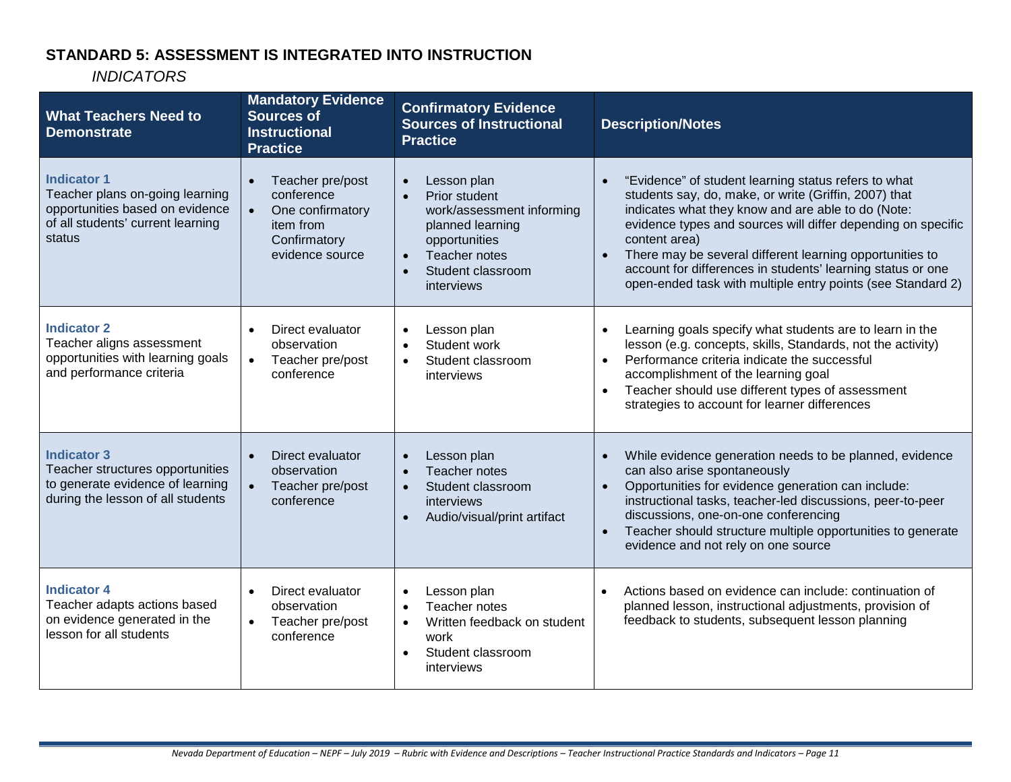## **STANDARD 5: ASSESSMENT IS INTEGRATED INTO INSTRUCTION**

| <b>What Teachers Need to</b><br><b>Demonstrate</b>                                                                                      | <b>Mandatory Evidence</b><br><b>Sources of</b><br><b>Instructional</b><br><b>Practice</b>                       | <b>Confirmatory Evidence</b><br><b>Sources of Instructional</b><br><b>Practice</b>                                                                                                        | <b>Description/Notes</b>                                                                                                                                                                                                                                                                                                                                                                                                                                    |
|-----------------------------------------------------------------------------------------------------------------------------------------|-----------------------------------------------------------------------------------------------------------------|-------------------------------------------------------------------------------------------------------------------------------------------------------------------------------------------|-------------------------------------------------------------------------------------------------------------------------------------------------------------------------------------------------------------------------------------------------------------------------------------------------------------------------------------------------------------------------------------------------------------------------------------------------------------|
| <b>Indicator 1</b><br>Teacher plans on-going learning<br>opportunities based on evidence<br>of all students' current learning<br>status | Teacher pre/post<br>conference<br>One confirmatory<br>$\bullet$<br>item from<br>Confirmatory<br>evidence source | Lesson plan<br>$\bullet$<br>Prior student<br>work/assessment informing<br>planned learning<br>opportunities<br>Teacher notes<br>$\bullet$<br>Student classroom<br>$\bullet$<br>interviews | "Evidence" of student learning status refers to what<br>students say, do, make, or write (Griffin, 2007) that<br>indicates what they know and are able to do (Note:<br>evidence types and sources will differ depending on specific<br>content area)<br>There may be several different learning opportunities to<br>$\bullet$<br>account for differences in students' learning status or one<br>open-ended task with multiple entry points (see Standard 2) |
| <b>Indicator 2</b><br>Teacher aligns assessment<br>opportunities with learning goals<br>and performance criteria                        | Direct evaluator<br>observation<br>$\bullet$<br>Teacher pre/post<br>conference                                  | Lesson plan<br>$\bullet$<br>Student work<br>$\bullet$<br>Student classroom<br>$\bullet$<br>interviews                                                                                     | Learning goals specify what students are to learn in the<br>lesson (e.g. concepts, skills, Standards, not the activity)<br>Performance criteria indicate the successful<br>$\bullet$<br>accomplishment of the learning goal<br>Teacher should use different types of assessment<br>strategies to account for learner differences                                                                                                                            |
| <b>Indicator 3</b><br>Teacher structures opportunities<br>to generate evidence of learning<br>during the lesson of all students         | Direct evaluator<br>$\bullet$<br>observation<br>$\bullet$<br>Teacher pre/post<br>conference                     | Lesson plan<br>$\bullet$<br>Teacher notes<br>$\bullet$<br>Student classroom<br>$\bullet$<br>interviews<br>Audio/visual/print artifact<br>$\bullet$                                        | While evidence generation needs to be planned, evidence<br>$\bullet$<br>can also arise spontaneously<br>Opportunities for evidence generation can include:<br>instructional tasks, teacher-led discussions, peer-to-peer<br>discussions, one-on-one conferencing<br>Teacher should structure multiple opportunities to generate<br>evidence and not rely on one source                                                                                      |
| <b>Indicator 4</b><br>Teacher adapts actions based<br>on evidence generated in the<br>lesson for all students                           | Direct evaluator<br>$\bullet$<br>observation<br>Teacher pre/post<br>conference                                  | Lesson plan<br>$\bullet$<br>Teacher notes<br>$\bullet$<br>Written feedback on student<br>work<br>Student classroom<br>interviews                                                          | Actions based on evidence can include: continuation of<br>$\bullet$<br>planned lesson, instructional adjustments, provision of<br>feedback to students, subsequent lesson planning                                                                                                                                                                                                                                                                          |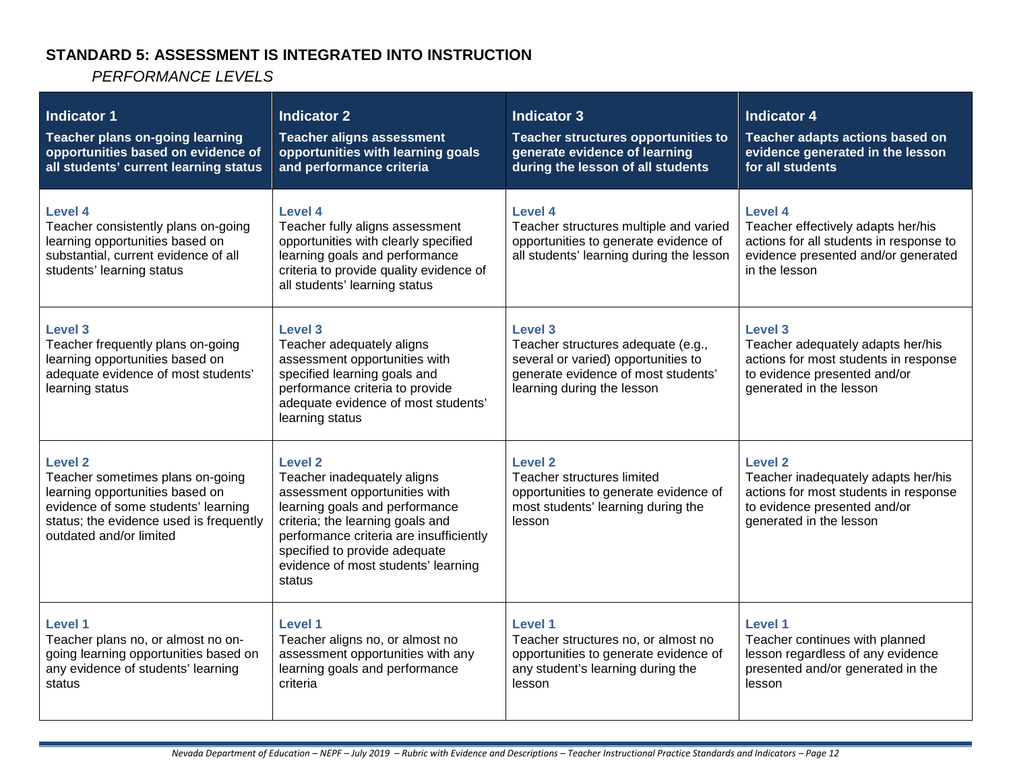# **STANDARD 5: ASSESSMENT IS INTEGRATED INTO INSTRUCTION**

| <b>Indicator 1</b><br>Teacher plans on-going learning<br>opportunities based on evidence of<br>all students' current learning status                                                               | <b>Indicator 2</b><br><b>Teacher aligns assessment</b><br>opportunities with learning goals<br>and performance criteria                                                                                                                                                           | <b>Indicator 3</b><br>Teacher structures opportunities to<br>generate evidence of learning<br>during the lesson of all students                           | <b>Indicator 4</b><br>Teacher adapts actions based on<br>evidence generated in the lesson<br>for all students                                             |
|----------------------------------------------------------------------------------------------------------------------------------------------------------------------------------------------------|-----------------------------------------------------------------------------------------------------------------------------------------------------------------------------------------------------------------------------------------------------------------------------------|-----------------------------------------------------------------------------------------------------------------------------------------------------------|-----------------------------------------------------------------------------------------------------------------------------------------------------------|
| Level 4<br>Teacher consistently plans on-going<br>learning opportunities based on<br>substantial, current evidence of all<br>students' learning status                                             | Level 4<br>Teacher fully aligns assessment<br>opportunities with clearly specified<br>learning goals and performance<br>criteria to provide quality evidence of<br>all students' learning status                                                                                  | Level 4<br>Teacher structures multiple and varied<br>opportunities to generate evidence of<br>all students' learning during the lesson                    | <b>Level 4</b><br>Teacher effectively adapts her/his<br>actions for all students in response to<br>evidence presented and/or generated<br>in the lesson   |
| Level 3<br>Teacher frequently plans on-going<br>learning opportunities based on<br>adequate evidence of most students'<br>learning status                                                          | Level 3<br>Teacher adequately aligns<br>assessment opportunities with<br>specified learning goals and<br>performance criteria to provide<br>adequate evidence of most students'<br>learning status                                                                                | Level 3<br>Teacher structures adequate (e.g.,<br>several or varied) opportunities to<br>generate evidence of most students'<br>learning during the lesson | <b>Level 3</b><br>Teacher adequately adapts her/his<br>actions for most students in response<br>to evidence presented and/or<br>generated in the lesson   |
| <b>Level 2</b><br>Teacher sometimes plans on-going<br>learning opportunities based on<br>evidence of some students' learning<br>status; the evidence used is frequently<br>outdated and/or limited | <b>Level 2</b><br>Teacher inadequately aligns<br>assessment opportunities with<br>learning goals and performance<br>criteria; the learning goals and<br>performance criteria are insufficiently<br>specified to provide adequate<br>evidence of most students' learning<br>status | <b>Level 2</b><br>Teacher structures limited<br>opportunities to generate evidence of<br>most students' learning during the<br>lesson                     | <b>Level 2</b><br>Teacher inadequately adapts her/his<br>actions for most students in response<br>to evidence presented and/or<br>generated in the lesson |
| Level 1<br>Teacher plans no, or almost no on-<br>going learning opportunities based on<br>any evidence of students' learning<br>status                                                             | <b>Level 1</b><br>Teacher aligns no, or almost no<br>assessment opportunities with any<br>learning goals and performance<br>criteria                                                                                                                                              | Level 1<br>Teacher structures no, or almost no<br>opportunities to generate evidence of<br>any student's learning during the<br>lesson                    | Level 1<br>Teacher continues with planned<br>lesson regardless of any evidence<br>presented and/or generated in the<br>lesson                             |